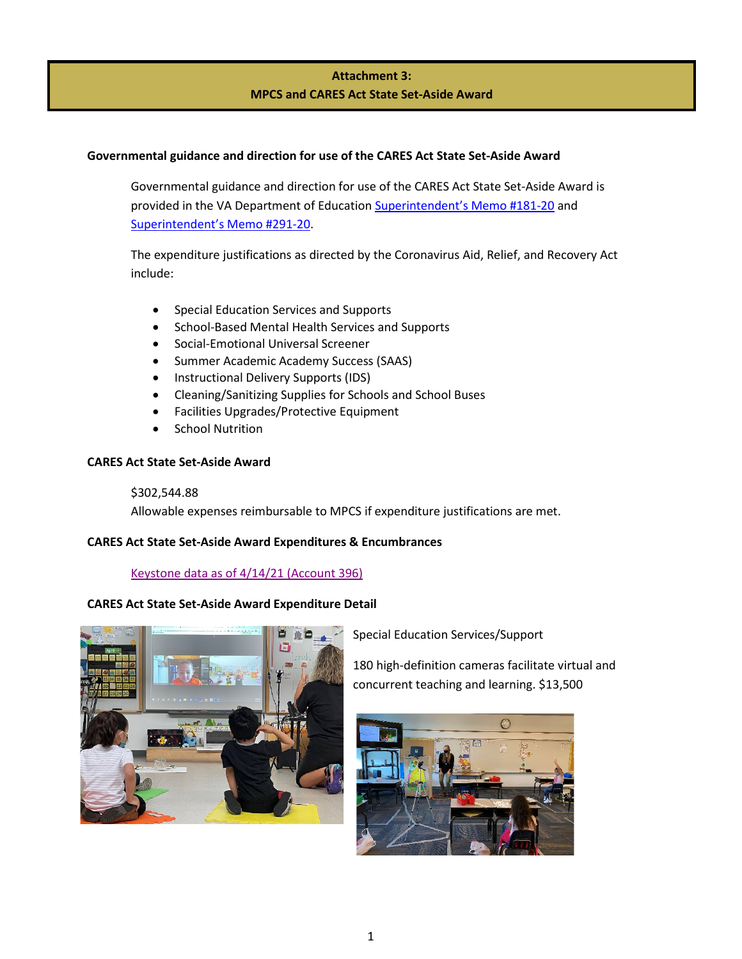# **Attachment 3: MPCS and CARES Act State Set-Aside Award**

## **Governmental guidance and direction for use of the CARES Act State Set-Aside Award**

Governmental guidance and direction for use of the CARES Act State Set-Aside Award is provided in the VA Department of Educatio[n Superintendent's Memo #181-20](https://www.doe.virginia.gov/administrators/superintendents_memos/2020/181-20.docx) and [Superintendent's Memo #291-20.](https://www.doe.virginia.gov/administrators/superintendents_memos/2020/291-20.docx)

The expenditure justifications as directed by the Coronavirus Aid, Relief, and Recovery Act include:

- Special Education Services and Supports
- School-Based Mental Health Services and Supports
- Social-Emotional Universal Screener
- Summer Academic Academy Success (SAAS)
- Instructional Delivery Supports (IDS)
- Cleaning/Sanitizing Supplies for Schools and School Buses
- Facilities Upgrades/Protective Equipment
- School Nutrition

## **CARES Act State Set-Aside Award**

#### \$302,544.88

Allowable expenses reimbursable to MPCS if expenditure justifications are met.

## **CARES Act State Set-Aside Award Expenditures & Encumbrances**

## [Keystone data as of 4/14/21](https://manassaspark.finalsite.com/uploaded/Announcements/Press_Release/Superintendents_Corner/MPCS_CARES_Relief_to_date.xlsm) (Account 396)

## **CARES Act State Set-Aside Award Expenditure Detail**



Special Education Services/Support

180 high-definition cameras facilitate virtual and concurrent teaching and learning. \$13,500